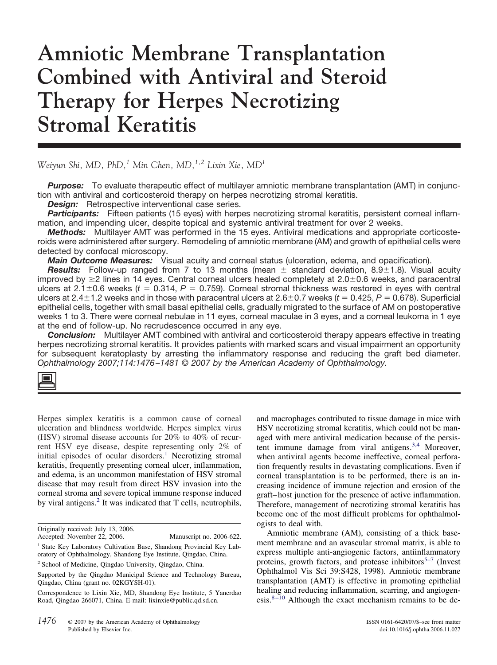# **Amniotic Membrane Transplantation Combined with Antiviral and Steroid Therapy for Herpes Necrotizing Stromal Keratitis**

*Weiyun Shi, MD, PhD,<sup>1</sup> Min Chen, MD,1,2 Lixin Xie, MD<sup>1</sup>*

*Purpose:* To evaluate therapeutic effect of multilayer amniotic membrane transplantation (AMT) in conjunction with antiviral and corticosteroid therapy on herpes necrotizing stromal keratitis.

**Design:** Retrospective interventional case series.

*Participants:* Fifteen patients (15 eyes) with herpes necrotizing stromal keratitis, persistent corneal inflammation, and impending ulcer, despite topical and systemic antiviral treatment for over 2 weeks.

*Methods:* Multilayer AMT was performed in the 15 eyes. Antiviral medications and appropriate corticosteroids were administered after surgery. Remodeling of amniotic membrane (AM) and growth of epithelial cells were detected by confocal microscopy.

*Main Outcome Measures:* Visual acuity and corneal status (ulceration, edema, and opacification).

**Results:** Follow-up ranged from 7 to 13 months (mean  $\pm$  standard deviation, 8.9 $\pm$ 1.8). Visual acuity improved by  $\geq$  lines in 14 eyes. Central corneal ulcers healed completely at 2.0 $\pm$ 0.6 weeks, and paracentral ulcers at 2.1 $\pm$ 0.6 weeks (*t* = 0.314, *P* = 0.759). Corneal stromal thickness was restored in eyes with central ulcers at 2.4 $\pm$ 1.2 weeks and in those with paracentral ulcers at 2.6 $\pm$ 0.7 weeks ( $t$  = 0.425,  $P$  = 0.678). Superficial epithelial cells, together with small basal epithelial cells, gradually migrated to the surface of AM on postoperative weeks 1 to 3. There were corneal nebulae in 11 eyes, corneal maculae in 3 eyes, and a corneal leukoma in 1 eye at the end of follow-up. No recrudescence occurred in any eye.

*Conclusion:* Multilayer AMT combined with antiviral and corticosteroid therapy appears effective in treating herpes necrotizing stromal keratitis. It provides patients with marked scars and visual impairment an opportunity for subsequent keratoplasty by arresting the inflammatory response and reducing the graft bed diameter. *Ophthalmology 2007;114:1476 –1481 © 2007 by the American Academy of Ophthalmology.*

Herpes simplex keratitis is a common cause of corneal ulceration and blindness worldwide. Herpes simplex virus (HSV) stromal disease accounts for 20% to 40% of recurrent HSV eye disease, despite representing only 2% of initial episodes of ocular disorders.<sup>[1](#page-4-0)</sup> Necrotizing stromal keratitis, frequently presenting corneal ulcer, inflammation, and edema, is an uncommon manifestation of HSV stromal disease that may result from direct HSV invasion into the corneal stroma and severe topical immune response induced by viral antigens.[2](#page-4-0) It was indicated that T cells, neutrophils,

Accepted: November 22, 2006. Manuscript no. 2006-622.

and macrophages contributed to tissue damage in mice with HSV necrotizing stromal keratitis, which could not be managed with mere antiviral medication because of the persis-tent immune damage from viral antigens.<sup>[3,4](#page-4-0)</sup> Moreover, when antiviral agents become ineffective, corneal perforation frequently results in devastating complications. Even if corneal transplantation is to be performed, there is an increasing incidence of immune rejection and erosion of the graft– host junction for the presence of active inflammation. Therefore, management of necrotizing stromal keratitis has become one of the most difficult problems for ophthalmologists to deal with.

Amniotic membrane (AM), consisting of a thick basement membrane and an avascular stromal matrix, is able to express multiple anti-angiogenic factors, antiinflammatory proteins, growth factors, and protease inhibitors $5-7$  (Invest Ophthalmol Vis Sci 39:S428, 1998). Amniotic membrane transplantation (AMT) is effective in promoting epithelial healing and reducing inflammation, scarring, and angiogenesis.<sup>8-10</sup> Although the exact mechanism remains to be de-

Originally received: July 13, 2006.

<sup>&</sup>lt;sup>1</sup> State Key Laboratory Cultivation Base, Shandong Provincial Key Laboratory of Ophthalmology, Shandong Eye Institute, Qingdao, China.

<sup>2</sup> School of Medicine, Qingdao University, Qingdao, China.

Supported by the Qingdao Municipal Science and Technology Bureau, Qingdao, China (grant no. 02KGYSH-01).

Correspondence to Lixin Xie, MD, Shandong Eye Institute, 5 Yanerdao Road, Qingdao 266071, China. E-mail: lixinxie@public.qd.sd.cn.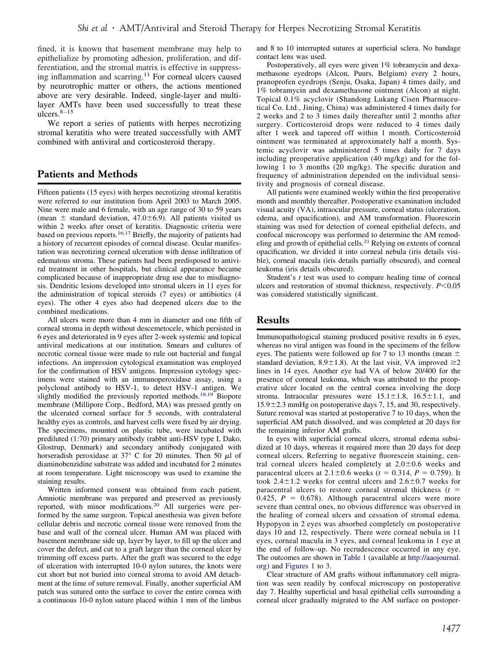fined, it is known that basement membrane may help to epithelialize by promoting adhesion, proliferation, and differentiation, and the stromal matrix is effective in suppress-ing inflammation and scarring.<sup>[11](#page-4-0)</sup> For corneal ulcers caused by neurotrophic matter or others, the actions mentioned above are very desirable. Indeed, single-layer and multilayer AMTs have been used successfully to treat these ulcers. $8-15$ 

We report a series of patients with herpes necrotizing stromal keratitis who were treated successfully with AMT combined with antiviral and corticosteroid therapy.

# **Patients and Methods**

Fifteen patients (15 eyes) with herpes necrotizing stromal keratitis were referred to our institution from April 2003 to March 2005. Nine were male and 6 female, with an age range of 30 to 59 years (mean  $\pm$  standard deviation, 47.0 $\pm$ 6.9). All patients visited us within 2 weeks after onset of keratitis. Diagnostic criteria were based on previous reports.<sup>16,17</sup> Briefly, the majority of patients had a history of recurrent episodes of corneal disease. Ocular manifestation was necrotizing corneal ulceration with dense infiltration of edematous stroma. These patients had been predisposed to antiviral treatment in other hospitals, but clinical appearance became complicated because of inappropriate drug use due to misdiagnosis. Dendritic lesions developed into stromal ulcers in 11 eyes for the administration of topical steroids (7 eyes) or antibiotics (4 eyes). The other 4 eyes also had deepened ulcers due to the combined medications.

All ulcers were more than 4 mm in diameter and one fifth of corneal stroma in depth without descemetocele, which persisted in 6 eyes and deteriorated in 9 eyes after 2-week systemic and topical antiviral medications at our institution. Smears and cultures of necrotic corneal tissue were made to rule out bacterial and fungal infections. An impression cytological examination was employed for the confirmation of HSV antigens. Impression cytology specimens were stained with an immunoperoxidase assay, using a polyclonal antibody to HSV-1, to detect HSV-1 antigen. We slightly modified the previously reported methods[.18,19](#page-5-0) Biopore membrane (Millipore Corp., Bedford, MA) was pressed gently on the ulcerated corneal surface for 5 seconds, with contralateral healthy eyes as controls, and harvest cells were fixed by air drying. The specimens, mounted on plastic tube, were incubated with prediluted (1:70) primary antibody (rabbit anti-HSV type I, Dako, Glostrup, Denmark) and secondary antibody conjugated with horseradish peroxidase at 37 $\degree$  C for 20 minutes. Then 50  $\mu$ l of diaminobenzidine substrate was added and incubated for 2 minutes at room temperature. Light microscopy was used to examine the staining results.

Written informed consent was obtained from each patient. Amniotic membrane was prepared and preserved as previously reported, with minor modifications[.20](#page-5-0) All surgeries were performed by the same surgeon. Topical anesthesia was given before cellular debris and necrotic corneal tissue were removed from the base and wall of the corneal ulcer. Human AM was placed with basement membrane side up, layer by layer, to fill up the ulcer and cover the defect, and cut to a graft larger than the corneal ulcer by trimming off excess parts. After the graft was secured to the edge of ulceration with interrupted 10-0 nylon sutures, the knots were cut short but not buried into corneal stroma to avoid AM detachment at the time of suture removal. Finally, another superficial AM patch was sutured onto the surface to cover the entire cornea with a continuous 10-0 nylon suture placed within 1 mm of the limbus

and 8 to 10 interrupted sutures at superficial sclera. No bandage contact lens was used.

Postoperatively, all eyes were given 1% tobramycin and dexamethasone eyedrops (Alcon, Puurs, Belgium) every 2 hours, pranoprofen eyedrops (Senju, Osaka, Japan) 4 times daily, and 1% tobramycin and dexamethasone ointment (Alcon) at night. Topical 0.1% acyclovir (Shandong Lukang Cisen Pharmaceutical Co. Ltd., Jining, China) was administered 4 times daily for 2 weeks and 2 to 3 times daily thereafter until 2 months after surgery. Corticosteroid drops were reduced to 4 times daily after 1 week and tapered off within 1 month. Corticosteroid ointment was terminated at approximately half a month. Systemic acyclovir was administered 5 times daily for 7 days including preoperative application (40 mg/kg) and for the following 1 to 3 months (20 mg/kg). The specific duration and frequency of administration depended on the individual sensitivity and prognosis of corneal disease.

All patients were examined weekly within the first preoperative month and monthly thereafter. Postoperative examination included visual acuity (VA), intraocular pressure, corneal status (ulceration, edema, and opacification), and AM transformation. Fluorescein staining was used for detection of corneal epithelial defects, and confocal microscopy was performed to determine the AM remodeling and growth of epithelial cells.<sup>21</sup> Relying on extents of corneal opacification, we divided it into corneal nebula (iris details visible), corneal macula (iris details partially obscured), and corneal leukoma (iris details obscured).

Student's *t* test was used to compare healing time of corneal ulcers and restoration of stromal thickness, respectively.  $P<0.05$ was considered statistically significant.

## **Results**

Immunopathological staining produced positive results in 6 eyes, whereas no viral antigen was found in the specimens of the fellow eyes. The patients were followed up for 7 to 13 months (mean  $\pm$ standard deviation, 8.9 $\pm$ 1.8). At the last visit, VA improved  $\geq$ 2 lines in 14 eyes. Another eye had VA of below 20/400 for the presence of corneal leukoma, which was attributed to the preoperative ulcer located on the central cornea involving the deep stroma. Intraocular pressures were  $15.1 \pm 1.8$ ,  $16.5 \pm 1.1$ , and  $15.9 \pm 2.3$  mmHg on postoperative days 7, 15, and 30, respectively. Suture removal was started at postoperative 7 to 10 days, when the superficial AM patch dissolved, and was completed at 20 days for the remaining inferior AM grafts.

In eyes with superficial corneal ulcers, stromal edema subsidized at 10 days, whereas it required more than 20 days for deep corneal ulcers. Referring to negative fluorescein staining, central corneal ulcers healed completely at  $2.0\pm0.6$  weeks and paracentral ulcers at  $2.1 \pm 0.6$  weeks ( $t = 0.314$ ,  $P = 0.759$ ). It took  $2.4 \pm 1.2$  weeks for central ulcers and  $2.6 \pm 0.7$  weeks for paracentral ulcers to restore corneal stromal thickness  $(t =$  $0.425$ ,  $P = 0.678$ ). Although paracentral ulcers were more severe than central ones, no obvious difference was observed in the healing of corneal ulcers and cessation of stromal edema. Hypopyon in 2 eyes was absorbed completely on postoperative days 10 and 12, respectively. There were corneal nebula in 11 eyes, corneal macula in 3 eyes, and corneal leukoma in 1 eye at the end of follow-up. No recrudescence occurred in any eye. The outcomes are shown in [Table 1](#page-6-0) (available at [http://aaojournal.](http://aaojournal.org) [org\)](http://aaojournal.org) and [Figures 1](#page-2-0) to [3.](#page-3-0)

Clear structure of AM grafts without inflammatory cell migration was seen readily by confocal microscopy on postoperative day 7. Healthy superficial and basal epithelial cells surrounding a corneal ulcer gradually migrated to the AM surface on postoper-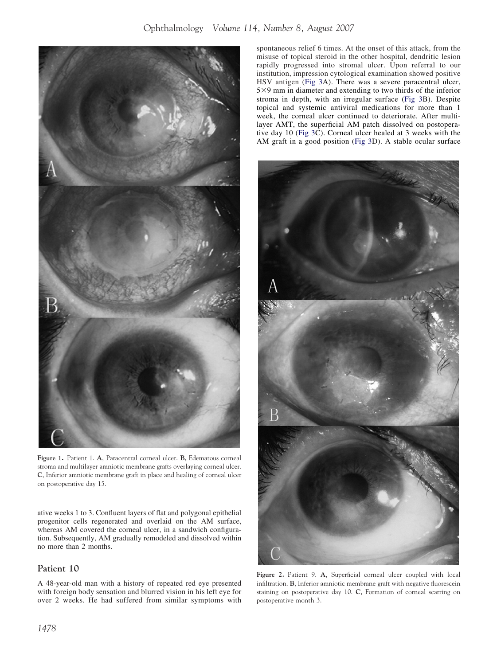<span id="page-2-0"></span>

**Figure 1.** Patient 1. **A**, Paracentral corneal ulcer. **B**, Edematous corneal stroma and multilayer amniotic membrane grafts overlaying corneal ulcer. **C**, Inferior amniotic membrane graft in place and healing of corneal ulcer on postoperative day 15.

ative weeks 1 to 3. Confluent layers of flat and polygonal epithelial progenitor cells regenerated and overlaid on the AM surface, whereas AM covered the corneal ulcer, in a sandwich configuration. Subsequently, AM gradually remodeled and dissolved within no more than 2 months.

## **Patient 10**

A 48-year-old man with a history of repeated red eye presented with foreign body sensation and blurred vision in his left eye for over 2 weeks. He had suffered from similar symptoms with spontaneous relief 6 times. At the onset of this attack, from the misuse of topical steroid in the other hospital, dendritic lesion rapidly progressed into stromal ulcer. Upon referral to our institution, impression cytological examination showed positive HSV antigen [\(Fig 3A](#page-3-0)). There was a severe paracentral ulcer,  $5\times9$  mm in diameter and extending to two thirds of the inferior stroma in depth, with an irregular surface [\(Fig 3B](#page-3-0)). Despite topical and systemic antiviral medications for more than 1 week, the corneal ulcer continued to deteriorate. After multilayer AMT, the superficial AM patch dissolved on postoperative day 10 [\(Fig 3C](#page-3-0)). Corneal ulcer healed at 3 weeks with the AM graft in a good position [\(Fig 3D](#page-3-0)). A stable ocular surface



**Figure 2.** Patient 9. **A**, Superficial corneal ulcer coupled with local infiltration. **B**, Inferior amniotic membrane graft with negative fluorescein staining on postoperative day 10. **C**, Formation of corneal scarring on postoperative month 3.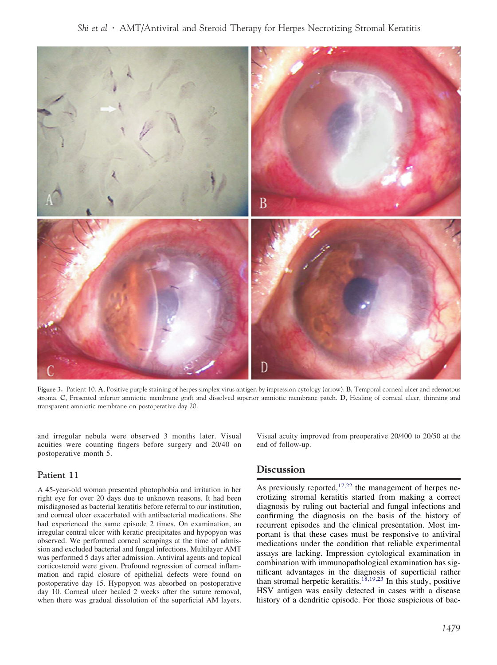*Shi et al* AMT/Antiviral and Steroid Therapy for Herpes Necrotizing Stromal Keratitis

<span id="page-3-0"></span>

**Figure 3.** Patient 10. **A**, Positive purple staining of herpes simplex virus antigen by impression cytology (arrow). **B**, Temporal corneal ulcer and edematous stroma. **C**, Presented inferior amniotic membrane graft and dissolved superior amniotic membrane patch. **D**, Healing of corneal ulcer, thinning and transparent amniotic membrane on postoperative day 20.

and irregular nebula were observed 3 months later. Visual acuities were counting fingers before surgery and 20/40 on postoperative month 5.

#### **Patient 11**

A 45-year-old woman presented photophobia and irritation in her right eye for over 20 days due to unknown reasons. It had been misdiagnosed as bacterial keratitis before referral to our institution, and corneal ulcer exacerbated with antibacterial medications. She had experienced the same episode 2 times. On examination, an irregular central ulcer with keratic precipitates and hypopyon was observed. We performed corneal scrapings at the time of admission and excluded bacterial and fungal infections. Multilayer AMT was performed 5 days after admission. Antiviral agents and topical corticosteroid were given. Profound regression of corneal inflammation and rapid closure of epithelial defects were found on postoperative day 15. Hypopyon was absorbed on postoperative day 10. Corneal ulcer healed 2 weeks after the suture removal, when there was gradual dissolution of the superficial AM layers. Visual acuity improved from preoperative 20/400 to 20/50 at the end of follow-up.

#### **Discussion**

As previously reported,  $17,22$  the management of herpes necrotizing stromal keratitis started from making a correct diagnosis by ruling out bacterial and fungal infections and confirming the diagnosis on the basis of the history of recurrent episodes and the clinical presentation. Most important is that these cases must be responsive to antiviral medications under the condition that reliable experimental assays are lacking. Impression cytological examination in combination with immunopathological examination has significant advantages in the diagnosis of superficial rather than stromal herpetic keratitis.<sup>[18,19,23](#page-5-0)</sup> In this study, positive HSV antigen was easily detected in cases with a disease history of a dendritic episode. For those suspicious of bac-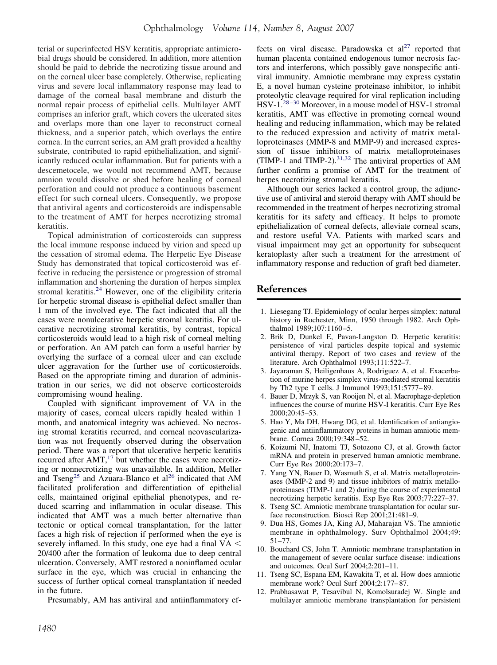<span id="page-4-0"></span>terial or superinfected HSV keratitis, appropriate antimicrobial drugs should be considered. In addition, more attention should be paid to debride the necrotizing tissue around and on the corneal ulcer base completely. Otherwise, replicating virus and severe local inflammatory response may lead to damage of the corneal basal membrane and disturb the normal repair process of epithelial cells. Multilayer AMT comprises an inferior graft, which covers the ulcerated sites and overlaps more than one layer to reconstruct corneal thickness, and a superior patch, which overlays the entire cornea. In the current series, an AM graft provided a healthy substrate, contributed to rapid epithelialization, and significantly reduced ocular inflammation. But for patients with a descemetocele, we would not recommend AMT, because amnion would dissolve or shed before healing of corneal perforation and could not produce a continuous basement effect for such corneal ulcers. Consequently, we propose that antiviral agents and corticosteroids are indispensable to the treatment of AMT for herpes necrotizing stromal keratitis.

Topical administration of corticosteroids can suppress the local immune response induced by virion and speed up the cessation of stromal edema. The Herpetic Eye Disease Study has demonstrated that topical corticosteroid was effective in reducing the persistence or progression of stromal inflammation and shortening the duration of herpes simplex stromal keratitis.<sup>[24](#page-5-0)</sup> However, one of the eligibility criteria for herpetic stromal disease is epithelial defect smaller than 1 mm of the involved eye. The fact indicated that all the cases were nonulcerative herpetic stromal keratitis. For ulcerative necrotizing stromal keratitis, by contrast, topical corticosteroids would lead to a high risk of corneal melting or perforation. An AM patch can form a useful barrier by overlying the surface of a corneal ulcer and can exclude ulcer aggravation for the further use of corticosteroids. Based on the appropriate timing and duration of administration in our series, we did not observe corticosteroids compromising wound healing.

Coupled with significant improvement of VA in the majority of cases, corneal ulcers rapidly healed within 1 month, and anatomical integrity was achieved. No necrosing stromal keratitis recurred, and corneal neovascularization was not frequently observed during the observation period. There was a report that ulcerative herpetic keratitis recurred after  $AMT$ ,<sup>[17](#page-5-0)</sup> but whether the cases were necrotizing or nonnecrotizing was unavailable. In addition, Meller and Tseng<sup>[25](#page-5-0)</sup> and Azuara-Blanco et al<sup>[26](#page-5-0)</sup> indicated that AM facilitated proliferation and differentiation of epithelial cells, maintained original epithelial phenotypes, and reduced scarring and inflammation in ocular disease. This indicated that AMT was a much better alternative than tectonic or optical corneal transplantation, for the latter faces a high risk of rejection if performed when the eye is severely inflamed. In this study, one eye had a final  $VA <$ 20/400 after the formation of leukoma due to deep central ulceration. Conversely, AMT restored a noninflamed ocular surface in the eye, which was crucial in enhancing the success of further optical corneal transplantation if needed in the future.

Presumably, AM has antiviral and antiinflammatory ef-

fects on viral disease. Paradowska et  $al^{27}$  $al^{27}$  $al^{27}$  reported that human placenta contained endogenous tumor necrosis factors and interferons, which possibly gave nonspecific antiviral immunity. Amniotic membrane may express cystatin E, a novel human cysteine proteinase inhibitor, to inhibit proteolytic cleavage required for viral replication including HSV-1.<sup>28-30</sup> Moreover, in a mouse model of HSV-1 stromal keratitis, AMT was effective in promoting corneal wound healing and reducing inflammation, which may be related to the reduced expression and activity of matrix metalloproteinases (MMP-8 and MMP-9) and increased expression of tissue inhibitors of matrix metalloproteinases (TIMP-1 and TIMP-2). $^{31,32}$  $^{31,32}$  $^{31,32}$  The antiviral properties of AM further confirm a promise of AMT for the treatment of herpes necrotizing stromal keratitis.

Although our series lacked a control group, the adjunctive use of antiviral and steroid therapy with AMT should be recommended in the treatment of herpes necrotizing stromal keratitis for its safety and efficacy. It helps to promote epithelialization of corneal defects, alleviate corneal scars, and restore useful VA. Patients with marked scars and visual impairment may get an opportunity for subsequent keratoplasty after such a treatment for the arrestment of inflammatory response and reduction of graft bed diameter.

# **References**

- 1. Liesegang TJ. Epidemiology of ocular herpes simplex: natural history in Rochester, Minn, 1950 through 1982. Arch Ophthalmol 1989;107:1160-5.
- 2. Brik D, Dunkel E, Pavan-Langston D. Herpetic keratitis: persistence of viral particles despite topical and systemic antiviral therapy. Report of two cases and review of the literature. Arch Ophthalmol 1993;111:522–7.
- 3. Jayaraman S, Heiligenhaus A, Rodriguez A, et al. Exacerbation of murine herpes simplex virus-mediated stromal keratitis by Th2 type T cells. J Immunol 1993;151:5777– 89.
- 4. Bauer D, Mrzyk S, van Rooijen N, et al. Macrophage-depletion influences the course of murine HSV-I keratitis. Curr Eye Res 2000;20:45–53.
- 5. Hao Y, Ma DH, Hwang DG, et al. Identification of antiangiogenic and antiinflammatory proteins in human amniotic membrane. Cornea 2000;19:348 –52.
- 6. Koizumi NJ, Inatomi TJ, Sotozono CJ, et al. Growth factor mRNA and protein in preserved human amniotic membrane. Curr Eye Res 2000;20:173–7.
- 7. Yang YN, Bauer D, Wasmuth S, et al. Matrix metalloproteinases (MMP-2 and 9) and tissue inhibitors of matrix metalloproteinases (TIMP-1 and 2) during the course of experimental necrotizing herpetic keratitis. Exp Eye Res 2003;77:227–37.
- 8. Tseng SC. Amniotic membrane transplantation for ocular surface reconstruction. Biosci Rep 2001;21:481–9.
- 9. Dua HS, Gomes JA, King AJ, Maharajan VS. The amniotic membrane in ophthalmology. Surv Ophthalmol 2004;49: 51–77.
- 10. Bouchard CS, John T. Amniotic membrane transplantation in the management of severe ocular surface disease: indications and outcomes. Ocul Surf 2004;2:201–11.
- 11. Tseng SC, Espana EM, Kawakita T, et al. How does amniotic membrane work? Ocul Surf 2004;2:177– 87.
- 12. Prabhasawat P, Tesavibul N, Komolsuradej W. Single and multilayer amniotic membrane transplantation for persistent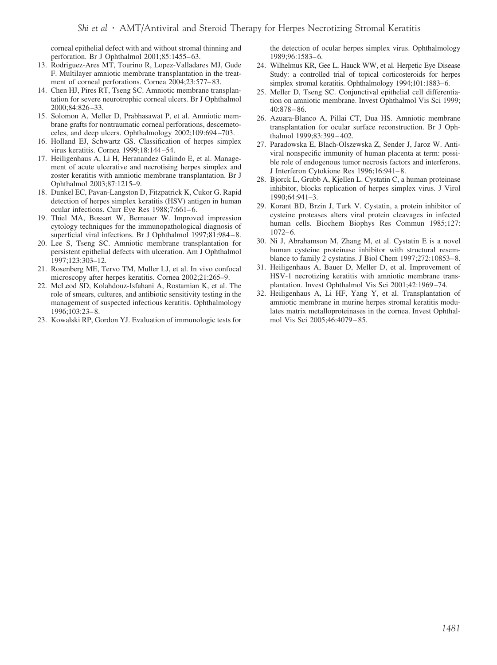<span id="page-5-0"></span>corneal epithelial defect with and without stromal thinning and perforation. Br J Ophthalmol 2001;85:1455– 63.

- 13. Rodriguez-Ares MT, Tourino R, Lopez-Valladares MJ, Gude F. Multilayer amniotic membrane transplantation in the treatment of corneal perforations. Cornea 2004;23:577– 83.
- 14. Chen HJ, Pires RT, Tseng SC. Amniotic membrane transplantation for severe neurotrophic corneal ulcers. Br J Ophthalmol 2000;84:826 –33.
- 15. Solomon A, Meller D, Prabhasawat P, et al. Amniotic membrane grafts for nontraumatic corneal perforations, descemetoceles, and deep ulcers. Ophthalmology 2002;109:694 –703.
- 16. Holland EJ, Schwartz GS. Classification of herpes simplex virus keratitis. Cornea 1999;18:144 –54.
- 17. Heiligenhaus A, Li H, Heranandez Galindo E, et al. Management of acute ulcerative and necrotising herpes simplex and zoster keratitis with amniotic membrane transplantation. Br J Ophthalmol 2003;87:1215–9.
- 18. Dunkel EC, Pavan-Langston D, Fitzpatrick K, Cukor G. Rapid detection of herpes simplex keratitis (HSV) antigen in human ocular infections. Curr Eye Res 1988;7:661-6.
- 19. Thiel MA, Bossart W, Bernauer W. Improved impression cytology techniques for the immunopathological diagnosis of superficial viral infections. Br J Ophthalmol 1997;81:984-8.
- 20. Lee S, Tseng SC. Amniotic membrane transplantation for persistent epithelial defects with ulceration. Am J Ophthalmol 1997;123:303–12.
- 21. Rosenberg ME, Tervo TM, Muller LJ, et al. In vivo confocal microscopy after herpes keratitis. Cornea 2002;21:265–9.
- 22. McLeod SD, Kolahdouz-Isfahani A, Rostamian K, et al. The role of smears, cultures, and antibiotic sensitivity testing in the management of suspected infectious keratitis. Ophthalmology 1996;103:23– 8.
- 23. Kowalski RP, Gordon YJ. Evaluation of immunologic tests for

the detection of ocular herpes simplex virus. Ophthalmology 1989;96:1583– 6.

- 24. Wilhelmus KR, Gee L, Hauck WW, et al. Herpetic Eye Disease Study: a controlled trial of topical corticosteroids for herpes simplex stromal keratitis. Ophthalmology 1994;101:1883-6.
- 25. Meller D, Tseng SC. Conjunctival epithelial cell differentiation on amniotic membrane. Invest Ophthalmol Vis Sci 1999; 40:878 – 86.
- 26. Azuara-Blanco A, Pillai CT, Dua HS. Amniotic membrane transplantation for ocular surface reconstruction. Br J Ophthalmol 1999;83:399 – 402.
- 27. Paradowska E, Blach-Olszewska Z, Sender J, Jaroz W. Antiviral nonspecific immunity of human placenta at term: possible role of endogenous tumor necrosis factors and interferons. J Interferon Cytokione Res 1996;16:941– 8.
- 28. Bjorck L, Grubb A, Kjellen L. Cystatin C, a human proteinase inhibitor, blocks replication of herpes simplex virus. J Virol 1990;64:941–3.
- 29. Korant BD, Brzin J, Turk V. Cystatin, a protein inhibitor of cysteine proteases alters viral protein cleavages in infected human cells. Biochem Biophys Res Commun 1985;127:  $1072 - 6.$
- 30. Ni J, Abrahamson M, Zhang M, et al. Cystatin E is a novel human cysteine proteinase inhibitor with structural resemblance to family 2 cystatins. J Biol Chem 1997;272:10853– 8.
- 31. Heiligenhaus A, Bauer D, Meller D, et al. Improvement of HSV-1 necrotizing keratitis with amniotic membrane transplantation. Invest Ophthalmol Vis Sci 2001;42:1969 –74.
- 32. Heiligenhaus A, Li HF, Yang Y, et al. Transplantation of amniotic membrane in murine herpes stromal keratitis modulates matrix metalloproteinases in the cornea. Invest Ophthalmol Vis Sci 2005;46:4079 – 85.